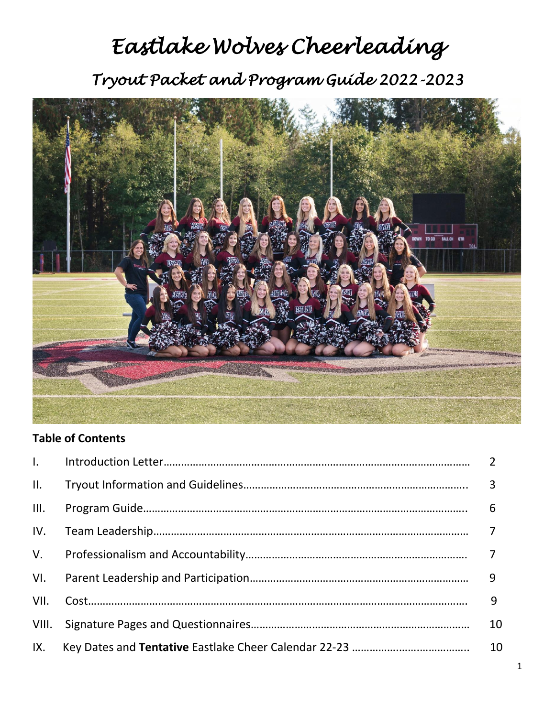# *Eastlake Wolves Cheerleading Tryout Packet and Program Guide 2022-2023*



# **Table of Contents**

| $\mathbf{L}$ |    |
|--------------|----|
| II.          |    |
| III.         | 6  |
| IV.          |    |
| $V_{\cdot}$  |    |
| VI.          |    |
| VII.         | 9  |
| VIII.        | 10 |
| IX.          | 10 |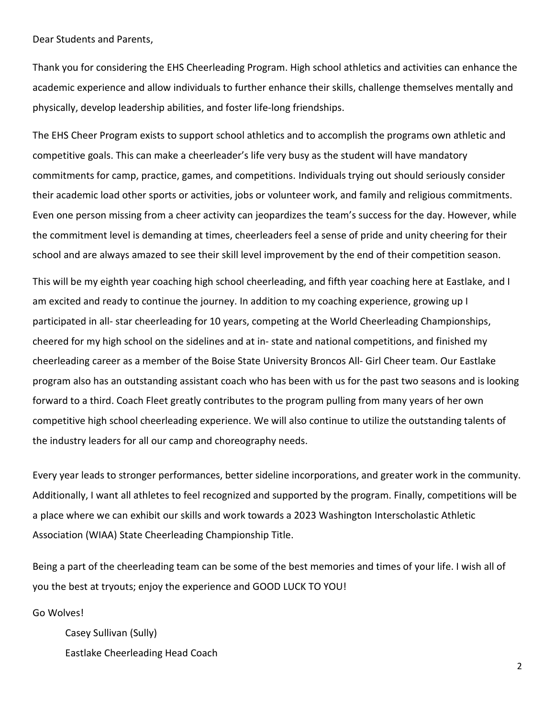Dear Students and Parents,

Thank you for considering the EHS Cheerleading Program. High school athletics and activities can enhance the academic experience and allow individuals to further enhance their skills, challenge themselves mentally and physically, develop leadership abilities, and foster life-long friendships.

The EHS Cheer Program exists to support school athletics and to accomplish the programs own athletic and competitive goals. This can make a cheerleader's life very busy as the student will have mandatory commitments for camp, practice, games, and competitions. Individuals trying out should seriously consider their academic load other sports or activities, jobs or volunteer work, and family and religious commitments. Even one person missing from a cheer activity can jeopardizes the team's success for the day. However, while the commitment level is demanding at times, cheerleaders feel a sense of pride and unity cheering for their school and are always amazed to see their skill level improvement by the end of their competition season.

This will be my eighth year coaching high school cheerleading, and fifth year coaching here at Eastlake, and I am excited and ready to continue the journey. In addition to my coaching experience, growing up I participated in all- star cheerleading for 10 years, competing at the World Cheerleading Championships, cheered for my high school on the sidelines and at in- state and national competitions, and finished my cheerleading career as a member of the Boise State University Broncos All- Girl Cheer team. Our Eastlake program also has an outstanding assistant coach who has been with us for the past two seasons and is looking forward to a third. Coach Fleet greatly contributes to the program pulling from many years of her own competitive high school cheerleading experience. We will also continue to utilize the outstanding talents of the industry leaders for all our camp and choreography needs.

Every year leads to stronger performances, better sideline incorporations, and greater work in the community. Additionally, I want all athletes to feel recognized and supported by the program. Finally, competitions will be a place where we can exhibit our skills and work towards a 2023 Washington Interscholastic Athletic Association (WIAA) State Cheerleading Championship Title.

Being a part of the cheerleading team can be some of the best memories and times of your life. I wish all of you the best at tryouts; enjoy the experience and GOOD LUCK TO YOU!

Go Wolves!

Casey Sullivan (Sully) Eastlake Cheerleading Head Coach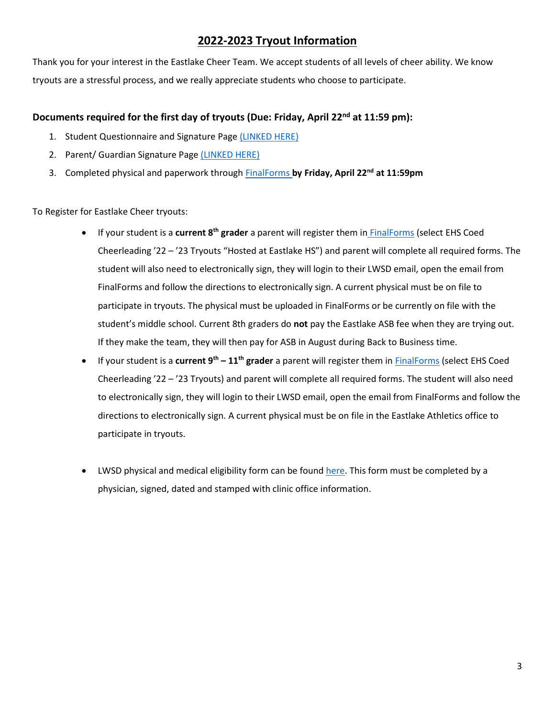## **2022-2023 Tryout Information**

Thank you for your interest in the Eastlake Cheer Team. We accept students of all levels of cheer ability. We know tryouts are a stressful process, and we really appreciate students who choose to participate.

## **Documents required for the first day of tryouts (Due: Friday, April 22nd at 11:59 pm):**

- 1. Student Questionnaire and Signature Page [\(LINKED HERE\)](https://forms.office.com/r/6T2AQm3MxB)
- 2. Parent/ Guardian Signature Page [\(LINKED HERE\)](https://forms.office.com/r/xHYJ2a6Y7N)
- 3. Completed physical and paperwork throug[h FinalForms](https://nam02.safelinks.protection.outlook.com/?url=https%3A%2F%2Flakewashington-wa.finalforms.com%2F&data=04%7C01%7Ccasullivan%40lwsd.org%7Ca95aa75cf233413e8aad08da08f61c32%7C1fd4673fdf9646218638a1d88c4c85d7%7C0%7C0%7C637832150387527547%7CUnknown%7CTWFpbGZsb3d8eyJWIjoiMC4wLjAwMDAiLCJQIjoiV2luMzIiLCJBTiI6Ik1haWwiLCJXVCI6Mn0%3D%7C3000&sdata=A6TIG%2BEhcBHPEXE1EKpyo6Thn%2BtIVmNhJP5c8naNcUA%3D&reserved=0) **by Friday, April 22nd at 11:59pm**

To Register for Eastlake Cheer tryouts:

- If your student is a **current 8th grader** a parent will register them in [FinalForms](https://nam02.safelinks.protection.outlook.com/?url=https%3A%2F%2Flakewashington-wa.finalforms.com%2F&data=04%7C01%7Ccasullivan%40lwsd.org%7C14fd3680065f403a6f6e08da13644562%7C1fd4673fdf9646218638a1d88c4c85d7%7C0%7C0%7C637843618619313880%7CUnknown%7CTWFpbGZsb3d8eyJWIjoiMC4wLjAwMDAiLCJQIjoiV2luMzIiLCJBTiI6Ik1haWwiLCJXVCI6Mn0%3D%7C3000&sdata=evJo6pU39geZnwny%2BaSCJaRBA1i5tSQ3bjuEa2leLM8%3D&reserved=0) (select EHS Coed Cheerleading '22 – '23 Tryouts "Hosted at Eastlake HS") and parent will complete all required forms. The student will also need to electronically sign, they will login to their LWSD email, open the email from FinalForms and follow the directions to electronically sign. A current physical must be on file to participate in tryouts. The physical must be uploaded in FinalForms or be currently on file with the student's middle school. Current 8th graders do **not** pay the Eastlake ASB fee when they are trying out. If they make the team, they will then pay for ASB in August during Back to Business time.
- If your student is a **current 9th – 11th grader** a parent will register them in [FinalForms](https://nam02.safelinks.protection.outlook.com/?url=https%3A%2F%2Flakewashington-wa.finalforms.com%2F&data=04%7C01%7Ccasullivan%40lwsd.org%7Ca95aa75cf233413e8aad08da08f61c32%7C1fd4673fdf9646218638a1d88c4c85d7%7C0%7C0%7C637832150387527547%7CUnknown%7CTWFpbGZsb3d8eyJWIjoiMC4wLjAwMDAiLCJQIjoiV2luMzIiLCJBTiI6Ik1haWwiLCJXVCI6Mn0%3D%7C3000&sdata=A6TIG%2BEhcBHPEXE1EKpyo6Thn%2BtIVmNhJP5c8naNcUA%3D&reserved=0) (select EHS Coed Cheerleading '22 – '23 Tryouts) and parent will complete all required forms. The student will also need to electronically sign, they will login to their LWSD email, open the email from FinalForms and follow the directions to electronically sign. A current physical must be on file in the Eastlake Athletics office to participate in tryouts.
- LWSD physical and medical eligibility form can be found [here.](https://nam02.safelinks.protection.outlook.com/?url=https%3A%2F%2Fehs.lwsd.org%2Ffs%2Fresource-manager%2Fview%2Fdfe6b1bd-7d70-4011-813a-5de77b9fcba5&data=04%7C01%7Ccasullivan%40lwsd.org%7Ca95aa75cf233413e8aad08da08f61c32%7C1fd4673fdf9646218638a1d88c4c85d7%7C0%7C0%7C637832150387527547%7CUnknown%7CTWFpbGZsb3d8eyJWIjoiMC4wLjAwMDAiLCJQIjoiV2luMzIiLCJBTiI6Ik1haWwiLCJXVCI6Mn0%3D%7C3000&sdata=hpFJUhUEzKMQqbhEAGeiAMz8tTafXPte9DzZ3%2F%2FYs7Q%3D&reserved=0) This form must be completed by a physician, signed, dated and stamped with clinic office information.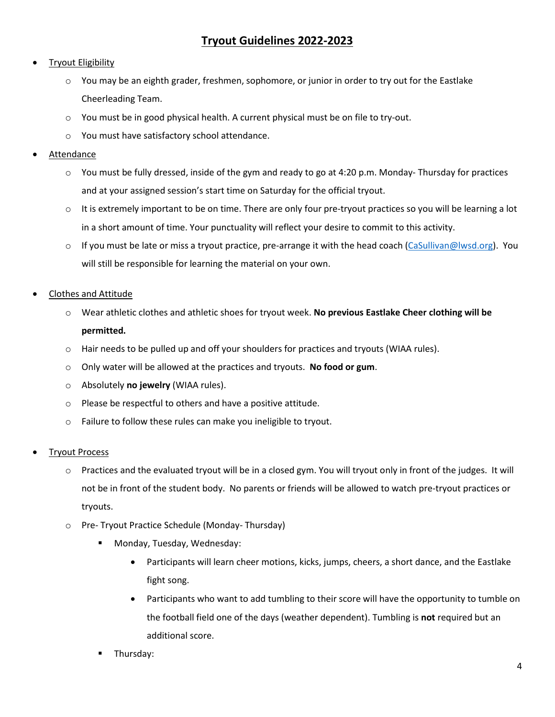## **Tryout Eligibility**

- $\circ$  You may be an eighth grader, freshmen, sophomore, or junior in order to try out for the Eastlake Cheerleading Team.
- $\circ$  You must be in good physical health. A current physical must be on file to try-out.
- o You must have satisfactory school attendance.
- **Attendance** 
	- o You must be fully dressed, inside of the gym and ready to go at 4:20 p.m. Monday- Thursday for practices and at your assigned session's start time on Saturday for the official tryout.
	- $\circ$  It is extremely important to be on time. There are only four pre-tryout practices so you will be learning a lot in a short amount of time. Your punctuality will reflect your desire to commit to this activity.
	- $\circ$  If you must be late or miss a tryout practice, pre-arrange it with the head coach [\(CaSullivan@lwsd.org\)](mailto:CaSullivan@lwsd.org). You will still be responsible for learning the material on your own.
- Clothes and Attitude
	- o Wear athletic clothes and athletic shoes for tryout week. **No previous Eastlake Cheer clothing will be permitted.**
	- o Hair needs to be pulled up and off your shoulders for practices and tryouts (WIAA rules).
	- o Only water will be allowed at the practices and tryouts. **No food or gum**.
	- o Absolutely **no jewelry** (WIAA rules).
	- o Please be respectful to others and have a positive attitude.
	- o Failure to follow these rules can make you ineligible to tryout.
- **Tryout Process** 
	- o Practices and the evaluated tryout will be in a closed gym. You will tryout only in front of the judges. It will not be in front of the student body. No parents or friends will be allowed to watch pre-tryout practices or tryouts.
	- o Pre- Tryout Practice Schedule (Monday- Thursday)
		- Monday, Tuesday, Wednesday:
			- Participants will learn cheer motions, kicks, jumps, cheers, a short dance, and the Eastlake fight song.
			- Participants who want to add tumbling to their score will have the opportunity to tumble on the football field one of the days (weather dependent). Tumbling is **not** required but an additional score.
		- Thursday: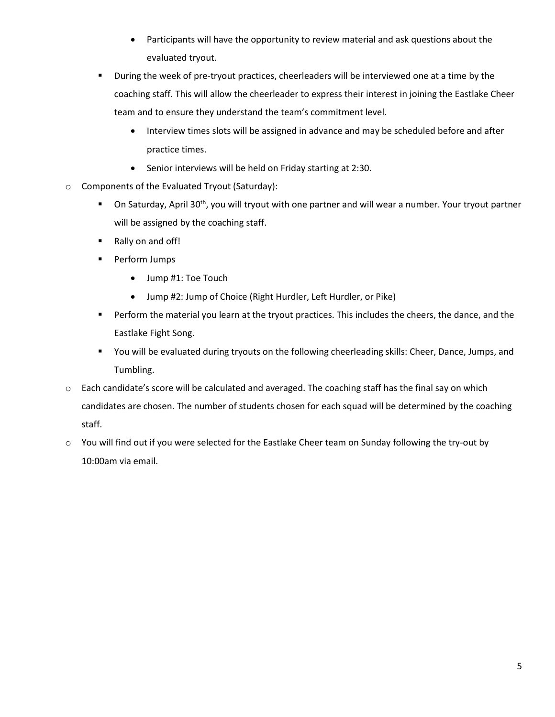- Participants will have the opportunity to review material and ask questions about the evaluated tryout.
- **■** During the week of pre-tryout practices, cheerleaders will be interviewed one at a time by the coaching staff. This will allow the cheerleader to express their interest in joining the Eastlake Cheer team and to ensure they understand the team's commitment level.
	- Interview times slots will be assigned in advance and may be scheduled before and after practice times.
	- Senior interviews will be held on Friday starting at 2:30.
- o Components of the Evaluated Tryout (Saturday):
	- On Saturday, April 30<sup>th</sup>, you will tryout with one partner and will wear a number. Your tryout partner will be assigned by the coaching staff.
	- Rally on and off!
	- Perform Jumps
		- Jump #1: Toe Touch
		- Jump #2: Jump of Choice (Right Hurdler, Left Hurdler, or Pike)
	- **•** Perform the material you learn at the tryout practices. This includes the cheers, the dance, and the Eastlake Fight Song.
	- You will be evaluated during tryouts on the following cheerleading skills: Cheer, Dance, Jumps, and Tumbling.
- o Each candidate's score will be calculated and averaged. The coaching staff has the final say on which candidates are chosen. The number of students chosen for each squad will be determined by the coaching staff.
- o You will find out if you were selected for the Eastlake Cheer team on Sunday following the try-out by 10:00am via email.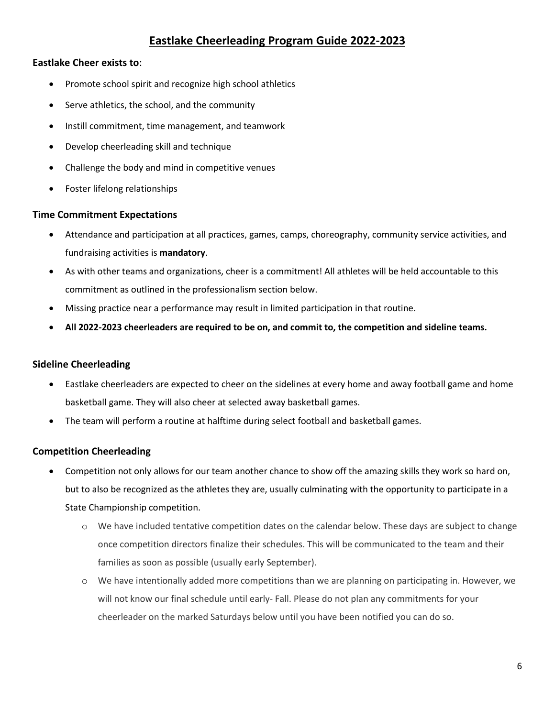# **Eastlake Cheerleading Program Guide 2022-2023**

## **Eastlake Cheer exists to**:

- Promote school spirit and recognize high school athletics
- Serve athletics, the school, and the community
- Instill commitment, time management, and teamwork
- Develop cheerleading skill and technique
- Challenge the body and mind in competitive venues
- Foster lifelong relationships

## **Time Commitment Expectations**

- Attendance and participation at all practices, games, camps, choreography, community service activities, and fundraising activities is **mandatory**.
- As with other teams and organizations, cheer is a commitment! All athletes will be held accountable to this commitment as outlined in the professionalism section below.
- Missing practice near a performance may result in limited participation in that routine.
- **All 2022-2023 cheerleaders are required to be on, and commit to, the competition and sideline teams.**

## **Sideline Cheerleading**

- Eastlake cheerleaders are expected to cheer on the sidelines at every home and away football game and home basketball game. They will also cheer at selected away basketball games.
- The team will perform a routine at halftime during select football and basketball games.

## **Competition Cheerleading**

- Competition not only allows for our team another chance to show off the amazing skills they work so hard on, but to also be recognized as the athletes they are, usually culminating with the opportunity to participate in a State Championship competition.
	- o We have included tentative competition dates on the calendar below. These days are subject to change once competition directors finalize their schedules. This will be communicated to the team and their families as soon as possible (usually early September).
	- o We have intentionally added more competitions than we are planning on participating in. However, we will not know our final schedule until early- Fall. Please do not plan any commitments for your cheerleader on the marked Saturdays below until you have been notified you can do so.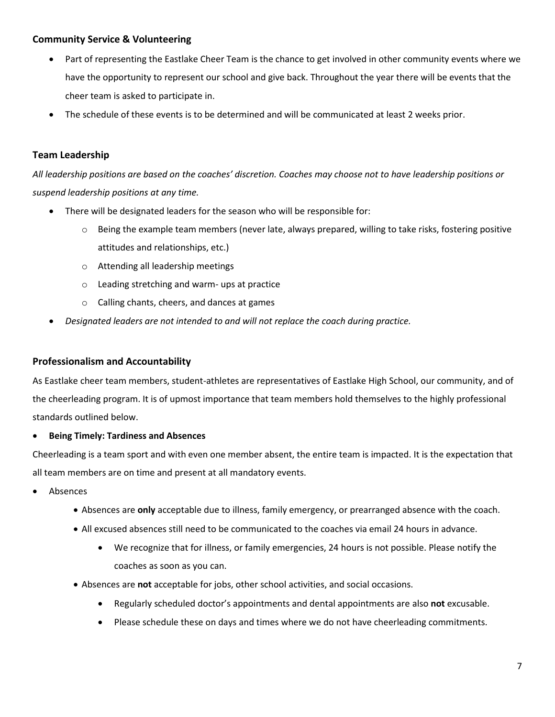## **Community Service & Volunteering**

- Part of representing the Eastlake Cheer Team is the chance to get involved in other community events where we have the opportunity to represent our school and give back. Throughout the year there will be events that the cheer team is asked to participate in.
- The schedule of these events is to be determined and will be communicated at least 2 weeks prior.

## **Team Leadership**

*All leadership positions are based on the coaches' discretion. Coaches may choose not to have leadership positions or suspend leadership positions at any time.* 

- There will be designated leaders for the season who will be responsible for:
	- $\circ$  Being the example team members (never late, always prepared, willing to take risks, fostering positive attitudes and relationships, etc.)
	- o Attending all leadership meetings
	- o Leading stretching and warm- ups at practice
	- o Calling chants, cheers, and dances at games
- *Designated leaders are not intended to and will not replace the coach during practice.*

## **Professionalism and Accountability**

As Eastlake cheer team members, student-athletes are representatives of Eastlake High School, our community, and of the cheerleading program. It is of upmost importance that team members hold themselves to the highly professional standards outlined below.

#### • **Being Timely: Tardiness and Absences**

Cheerleading is a team sport and with even one member absent, the entire team is impacted. It is the expectation that all team members are on time and present at all mandatory events.

- **Absences** 
	- Absences are **only** acceptable due to illness, family emergency, or prearranged absence with the coach.
	- All excused absences still need to be communicated to the coaches via email 24 hours in advance.
		- We recognize that for illness, or family emergencies, 24 hours is not possible. Please notify the coaches as soon as you can.
	- Absences are **not** acceptable for jobs, other school activities, and social occasions.
		- Regularly scheduled doctor's appointments and dental appointments are also **not** excusable.
		- Please schedule these on days and times where we do not have cheerleading commitments.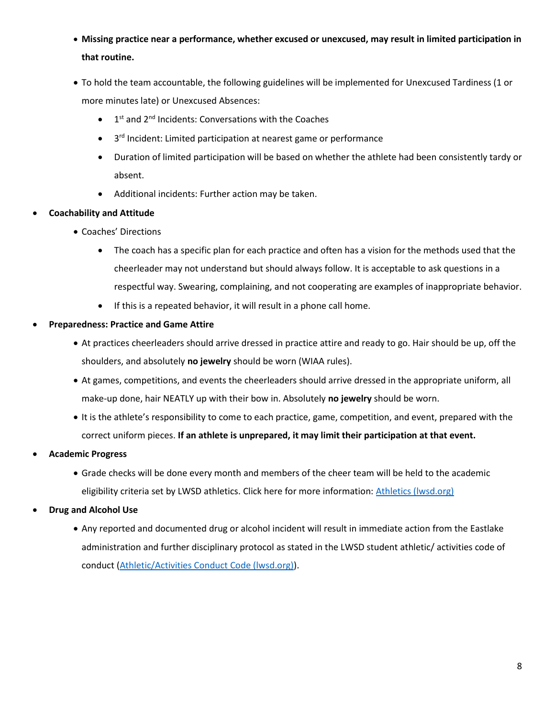- **Missing practice near a performance, whether excused or unexcused, may result in limited participation in that routine.**
- To hold the team accountable, the following guidelines will be implemented for Unexcused Tardiness (1 or more minutes late) or Unexcused Absences:
	- $\bullet$  1<sup>st</sup> and 2<sup>nd</sup> Incidents: Conversations with the Coaches
	- 3<sup>rd</sup> Incident: Limited participation at nearest game or performance
	- Duration of limited participation will be based on whether the athlete had been consistently tardy or absent.
	- Additional incidents: Further action may be taken.

## • **Coachability and Attitude**

- Coaches' Directions
	- The coach has a specific plan for each practice and often has a vision for the methods used that the cheerleader may not understand but should always follow. It is acceptable to ask questions in a respectful way. Swearing, complaining, and not cooperating are examples of inappropriate behavior.
	- If this is a repeated behavior, it will result in a phone call home.
- **Preparedness: Practice and Game Attire**
	- At practices cheerleaders should arrive dressed in practice attire and ready to go. Hair should be up, off the shoulders, and absolutely **no jewelry** should be worn (WIAA rules).
	- At games, competitions, and events the cheerleaders should arrive dressed in the appropriate uniform, all make-up done, hair NEATLY up with their bow in. Absolutely **no jewelry** should be worn.
	- It is the athlete's responsibility to come to each practice, game, competition, and event, prepared with the correct uniform pieces. **If an athlete is unprepared, it may limit their participation at that event.**
- **Academic Progress**
	- Grade checks will be done every month and members of the cheer team will be held to the academic eligibility criteria set by LWSD athletics. Click here for more information[: Athletics \(lwsd.org\)](https://www.lwsd.org/programs-and-services/athletics)
- **Drug and Alcohol Use**
	- Any reported and documented drug or alcohol incident will result in immediate action from the Eastlake administration and further disciplinary protocol as stated in the LWSD student athletic/ activities code of conduct [\(Athletic/Activities Conduct Code \(lwsd.org\)\)](https://www.lwsd.org/programs-and-services/athletics/athletic-activities-conduct-code).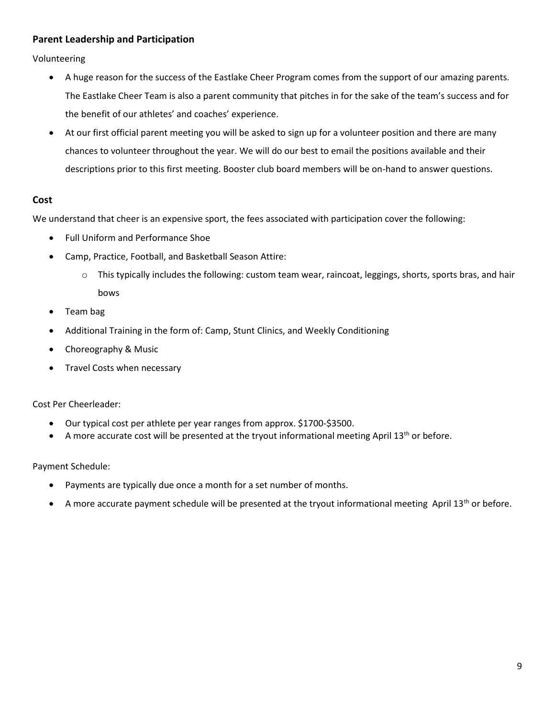## **Parent Leadership and Participation**

Volunteering

- A huge reason for the success of the Eastlake Cheer Program comes from the support of our amazing parents. The Eastlake Cheer Team is also a parent community that pitches in for the sake of the team's success and for the benefit of our athletes' and coaches' experience.
- At our first official parent meeting you will be asked to sign up for a volunteer position and there are many chances to volunteer throughout the year. We will do our best to email the positions available and their descriptions prior to this first meeting. Booster club board members will be on-hand to answer questions.

## **Cost**

We understand that cheer is an expensive sport, the fees associated with participation cover the following:

- Full Uniform and Performance Shoe
- Camp, Practice, Football, and Basketball Season Attire:
	- $\circ$  This typically includes the following: custom team wear, raincoat, leggings, shorts, sports bras, and hair bows
- Team bag
- Additional Training in the form of: Camp, Stunt Clinics, and Weekly Conditioning
- Choreography & Music
- Travel Costs when necessary

#### Cost Per Cheerleader:

- Our typical cost per athlete per year ranges from approx. \$1700-\$3500.
- A more accurate cost will be presented at the tryout informational meeting April  $13<sup>th</sup>$  or before.

#### Payment Schedule:

- Payments are typically due once a month for a set number of months.
- A more accurate payment schedule will be presented at the tryout informational meeting April  $13<sup>th</sup>$  or before.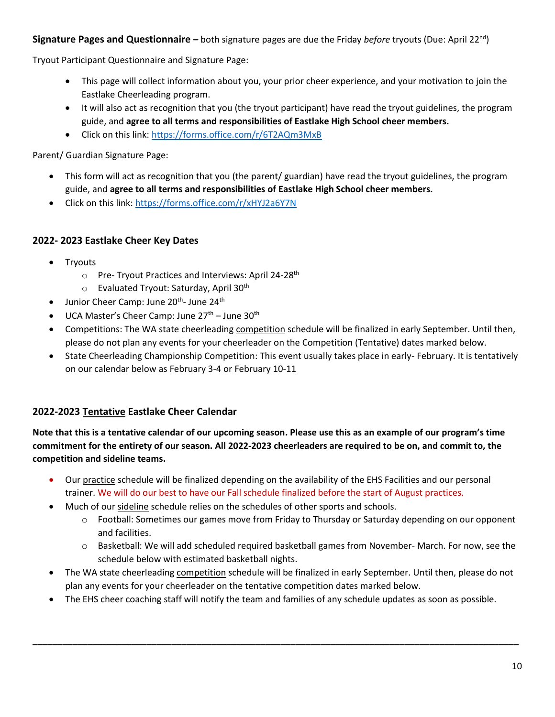## **Signature Pages and Questionnaire –** both signature pages are due the Friday *before* tryouts (Due: April 22nd)

Tryout Participant Questionnaire and Signature Page:

- This page will collect information about you, your prior cheer experience, and your motivation to join the Eastlake Cheerleading program.
- It will also act as recognition that you (the tryout participant) have read the tryout guidelines, the program guide, and **agree to all terms and responsibilities of Eastlake High School cheer members.**
- Click on this link:<https://forms.office.com/r/6T2AQm3MxB>

Parent/ Guardian Signature Page:

- This form will act as recognition that you (the parent/ guardian) have read the tryout guidelines, the program guide, and **agree to all terms and responsibilities of Eastlake High School cheer members.**
- Click on this link:<https://forms.office.com/r/xHYJ2a6Y7N>

## **2022- 2023 Eastlake Cheer Key Dates**

- **Tryouts** 
	- o Pre- Tryout Practices and Interviews: April 24-28<sup>th</sup>
	- $\circ$  Evaluated Tryout: Saturday, April 30<sup>th</sup>
- $\bullet$  Junior Cheer Camp: June 20<sup>th</sup>- June 24<sup>th</sup>
- UCA Master's Cheer Camp: June 27<sup>th</sup> June 30<sup>th</sup>
- Competitions: The WA state cheerleading competition schedule will be finalized in early September. Until then, please do not plan any events for your cheerleader on the Competition (Tentative) dates marked below.
- State Cheerleading Championship Competition: This event usually takes place in early- February. It is tentatively on our calendar below as February 3-4 or February 10-11

## **2022-2023 Tentative Eastlake Cheer Calendar**

**Note that this is a tentative calendar of our upcoming season. Please use this as an example of our program's time commitment for the entirety of our season. All 2022-2023 cheerleaders are required to be on, and commit to, the competition and sideline teams.**

- Our practice schedule will be finalized depending on the availability of the EHS Facilities and our personal trainer. We will do our best to have our Fall schedule finalized before the start of August practices.
- Much of our sideline schedule relies on the schedules of other sports and schools.
	- o Football: Sometimes our games move from Friday to Thursday or Saturday depending on our opponent and facilities.
	- o Basketball: We will add scheduled required basketball games from November- March. For now, see the schedule below with estimated basketball nights.
- The WA state cheerleading competition schedule will be finalized in early September. Until then, please do not plan any events for your cheerleader on the tentative competition dates marked below.
- The EHS cheer coaching staff will notify the team and families of any schedule updates as soon as possible.

**\_\_\_\_\_\_\_\_\_\_\_\_\_\_\_\_\_\_\_\_\_\_\_\_\_\_\_\_\_\_\_\_\_\_\_\_\_\_\_\_\_\_\_\_\_\_\_\_\_\_\_\_\_\_\_\_\_\_\_\_\_\_\_\_\_\_\_\_\_\_\_\_\_\_\_\_\_\_\_\_\_\_\_\_\_\_\_\_\_\_\_\_\_\_\_\_\_\_**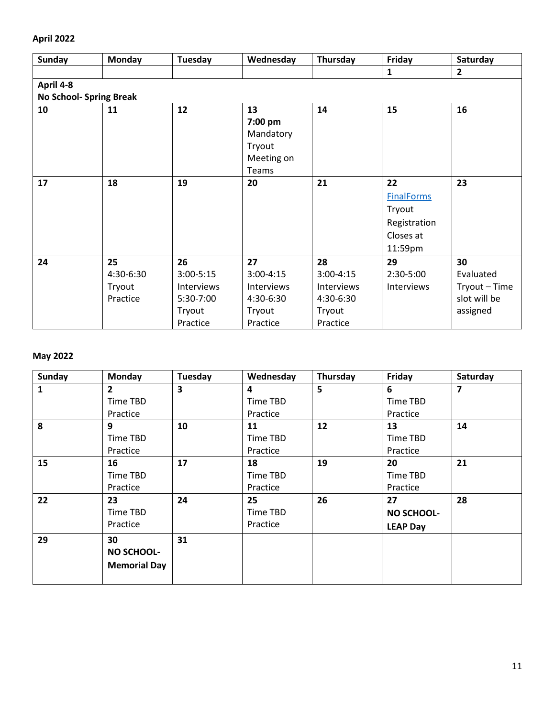# **April 2022**

| <b>Sunday</b>                  | <b>Monday</b> | Tuesday       | Wednesday         | Thursday    | Friday            | Saturday       |  |  |  |
|--------------------------------|---------------|---------------|-------------------|-------------|-------------------|----------------|--|--|--|
|                                |               |               |                   |             | $\mathbf{1}$      | $\overline{2}$ |  |  |  |
| April 4-8                      |               |               |                   |             |                   |                |  |  |  |
| <b>No School- Spring Break</b> |               |               |                   |             |                   |                |  |  |  |
| 10                             | 11            | 12            | 13                | 14          | 15                | 16             |  |  |  |
|                                |               |               | 7:00 pm           |             |                   |                |  |  |  |
|                                |               |               | Mandatory         |             |                   |                |  |  |  |
|                                |               |               | Tryout            |             |                   |                |  |  |  |
|                                |               |               | Meeting on        |             |                   |                |  |  |  |
|                                |               |               | Teams             |             |                   |                |  |  |  |
| 17                             | 18            | 19            | 20                | 21          | 22                | 23             |  |  |  |
|                                |               |               |                   |             | <b>FinalForms</b> |                |  |  |  |
|                                |               |               |                   |             | Tryout            |                |  |  |  |
|                                |               |               |                   |             | Registration      |                |  |  |  |
|                                |               |               |                   |             | Closes at         |                |  |  |  |
|                                |               |               |                   |             | 11:59pm           |                |  |  |  |
| 24                             | 25            | 26            | 27                | 28          | 29                | 30             |  |  |  |
|                                | 4:30-6:30     | $3:00 - 5:15$ | $3:00 - 4:15$     | $3:00-4:15$ | 2:30-5:00         | Evaluated      |  |  |  |
|                                | Tryout        | Interviews    | <b>Interviews</b> | Interviews  | Interviews        | Tryout-Time    |  |  |  |
|                                | Practice      | 5:30-7:00     | 4:30-6:30         | 4:30-6:30   |                   | slot will be   |  |  |  |
|                                |               | Tryout        | Tryout            | Tryout      |                   | assigned       |  |  |  |
|                                |               | Practice      | Practice          | Practice    |                   |                |  |  |  |

# **May 2022**

| <b>Sunday</b> | Monday                                         | Tuesday | Wednesday                  | Thursday | Friday                                     | Saturday |
|---------------|------------------------------------------------|---------|----------------------------|----------|--------------------------------------------|----------|
| 1             | $\overline{2}$<br>Time TBD                     | 3       | 4<br>Time TBD              | 5        | 6<br>Time TBD                              | 7        |
|               | Practice                                       |         | Practice                   |          | Practice                                   |          |
| 8             | 9<br>Time TBD<br>Practice                      | 10      | 11<br>Time TBD<br>Practice | 12       | 13<br>Time TBD<br>Practice                 | 14       |
| 15            | 16<br>Time TBD<br>Practice                     | 17      | 18<br>Time TBD<br>Practice | 19       | 20<br>Time TBD<br>Practice                 | 21       |
| 22            | 23<br>Time TBD<br>Practice                     | 24      | 25<br>Time TBD<br>Practice | 26       | 27<br><b>NO SCHOOL-</b><br><b>LEAP Day</b> | 28       |
| 29            | 30<br><b>NO SCHOOL-</b><br><b>Memorial Day</b> | 31      |                            |          |                                            |          |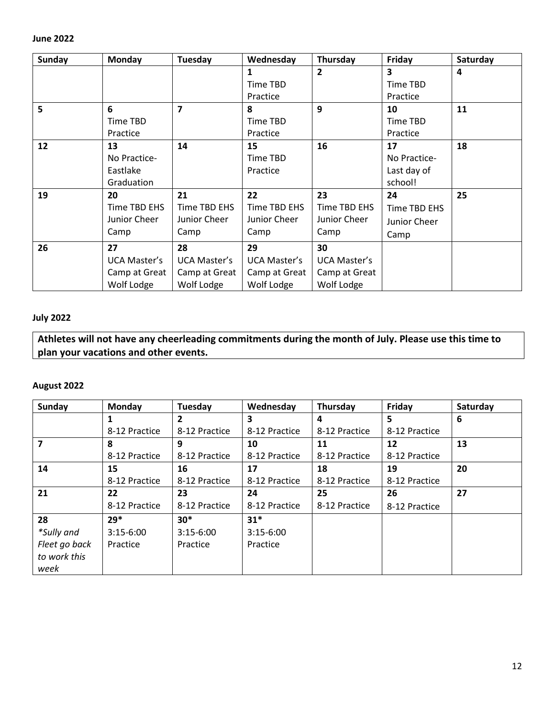| <b>Sunday</b> | <b>Monday</b>       | Tuesday                 | Wednesday           | Thursday            | Friday        | Saturday |
|---------------|---------------------|-------------------------|---------------------|---------------------|---------------|----------|
|               |                     |                         | 1<br>Time TBD       | $\overline{2}$      | 3<br>Time TBD | 4        |
|               |                     |                         | Practice            |                     | Practice      |          |
| 5             | 6                   | $\overline{\mathbf{z}}$ | 8                   | $\mathbf{q}$        | 10            | 11       |
|               | Time TBD            |                         | Time TBD            |                     | Time TBD      |          |
|               | Practice            |                         | Practice            |                     | Practice      |          |
| 12            | 13                  | 14                      | 15                  | 16                  | 17            | 18       |
|               | No Practice-        |                         | Time TBD            |                     | No Practice-  |          |
|               | Eastlake            |                         | Practice            |                     | Last day of   |          |
|               | Graduation          |                         |                     |                     | school!       |          |
| 19            | 20                  | 21                      | 22                  | 23                  | 24            | 25       |
|               | Time TBD EHS        | Time TBD EHS            | Time TBD EHS        | Time TBD EHS        | Time TBD EHS  |          |
|               | Junior Cheer        | Junior Cheer            | Junior Cheer        | Junior Cheer        | Junior Cheer  |          |
|               | Camp                | Camp                    | Camp                | Camp                | Camp          |          |
| 26            | 27                  | 28                      | 29                  | 30                  |               |          |
|               | <b>UCA Master's</b> | <b>UCA Master's</b>     | <b>UCA Master's</b> | <b>UCA Master's</b> |               |          |
|               | Camp at Great       | Camp at Great           | Camp at Great       | Camp at Great       |               |          |
|               | Wolf Lodge          | Wolf Lodge              | Wolf Lodge          | Wolf Lodge          |               |          |

## **July 2022**

**Athletes will not have any cheerleading commitments during the month of July. Please use this time to plan your vacations and other events.** 

## **August 2022**

| Sunday                        | Monday        | Tuesday        | Wednesday     | Thursday      | Friday        | Saturday |
|-------------------------------|---------------|----------------|---------------|---------------|---------------|----------|
|                               | 1             | $\overline{2}$ | 3             | 4             | 5             | 6        |
|                               | 8-12 Practice | 8-12 Practice  | 8-12 Practice | 8-12 Practice | 8-12 Practice |          |
|                               | 8             | 9              | 10            | 11            | 12            | 13       |
|                               | 8-12 Practice | 8-12 Practice  | 8-12 Practice | 8-12 Practice | 8-12 Practice |          |
| 14                            | 15            | 16             | 17            | 18            | 19            | 20       |
|                               | 8-12 Practice | 8-12 Practice  | 8-12 Practice | 8-12 Practice | 8-12 Practice |          |
| 21                            | 22            | 23             | 24            | 25            | 26            | 27       |
|                               | 8-12 Practice | 8-12 Practice  | 8-12 Practice | 8-12 Practice | 8-12 Practice |          |
| 28                            | $29*$         | $30*$          | $31*$         |               |               |          |
| *Sully and                    | $3:15-6:00$   | $3:15-6:00$    | $3:15-6:00$   |               |               |          |
| Fleet go back<br>to work this | Practice      | Practice       | Practice      |               |               |          |
| week                          |               |                |               |               |               |          |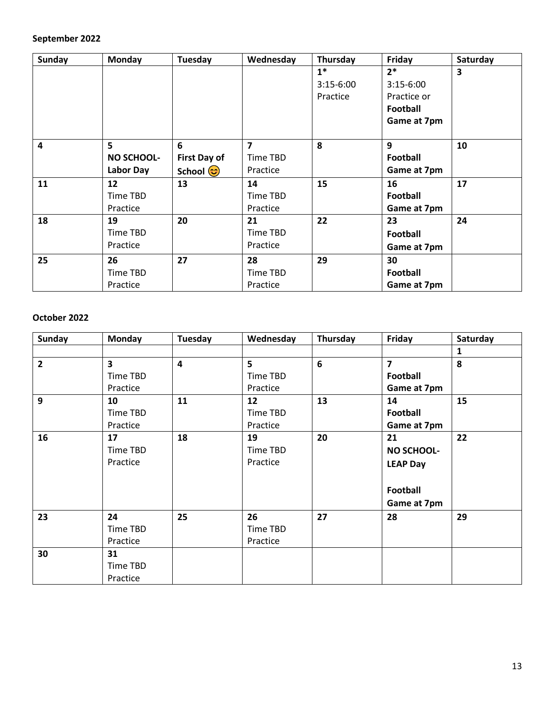# **September 2022**

| Sunday | <b>Monday</b>     | Tuesday                   | Wednesday | Thursday    | Friday          | Saturday |
|--------|-------------------|---------------------------|-----------|-------------|-----------------|----------|
|        |                   |                           |           | $1^*$       | $2*$            | 3        |
|        |                   |                           |           | $3:15-6:00$ | $3:15-6:00$     |          |
|        |                   |                           |           | Practice    | Practice or     |          |
|        |                   |                           |           |             | Football        |          |
|        |                   |                           |           |             | Game at 7pm     |          |
| 4      | 5                 | 6                         | 7         | 8           | 9               | 10       |
|        | <b>NO SCHOOL-</b> | <b>First Day of</b>       | Time TBD  |             | <b>Football</b> |          |
|        | Labor Day         | School ( <mark>ප</mark> ) | Practice  |             | Game at 7pm     |          |
| 11     | 12                | 13                        | 14        | 15          | 16              | 17       |
|        | Time TBD          |                           | Time TBD  |             | <b>Football</b> |          |
|        | Practice          |                           | Practice  |             | Game at 7pm     |          |
| 18     | 19                | 20                        | 21        | 22          | 23              | 24       |
|        | Time TBD          |                           | Time TBD  |             | <b>Football</b> |          |
|        | Practice          |                           | Practice  |             | Game at 7pm     |          |
| 25     | 26                | 27                        | 28        | 29          | 30              |          |
|        | Time TBD          |                           | Time TBD  |             | <b>Football</b> |          |
|        | Practice          |                           | Practice  |             | Game at 7pm     |          |

## **October 2022**

| <b>Sunday</b> | <b>Monday</b>           | Tuesday                 | Wednesday | Thursday       | Friday                  | Saturday |
|---------------|-------------------------|-------------------------|-----------|----------------|-------------------------|----------|
|               |                         |                         |           |                |                         | 1        |
| $\mathbf{2}$  | $\overline{\mathbf{3}}$ | $\overline{\mathbf{4}}$ | 5         | $6\phantom{1}$ | $\overline{\mathbf{z}}$ | 8        |
|               | Time TBD                |                         | Time TBD  |                | Football                |          |
|               | Practice                |                         | Practice  |                | Game at 7pm             |          |
| 9             | 10                      | 11                      | 12        | 13             | 14                      | 15       |
|               | Time TBD                |                         | Time TBD  |                | <b>Football</b>         |          |
|               | Practice                |                         | Practice  |                | Game at 7pm             |          |
| 16            | 17                      | 18                      | 19        | 20             | 21                      | 22       |
|               | Time TBD                |                         | Time TBD  |                | <b>NO SCHOOL-</b>       |          |
|               | Practice                |                         | Practice  |                | <b>LEAP Day</b>         |          |
|               |                         |                         |           |                | Football                |          |
|               |                         |                         |           |                | Game at 7pm             |          |
| 23            | 24                      | 25                      | 26        | 27             | 28                      | 29       |
|               | Time TBD                |                         | Time TBD  |                |                         |          |
|               | Practice                |                         | Practice  |                |                         |          |
| 30            | 31                      |                         |           |                |                         |          |
|               | Time TBD                |                         |           |                |                         |          |
|               | Practice                |                         |           |                |                         |          |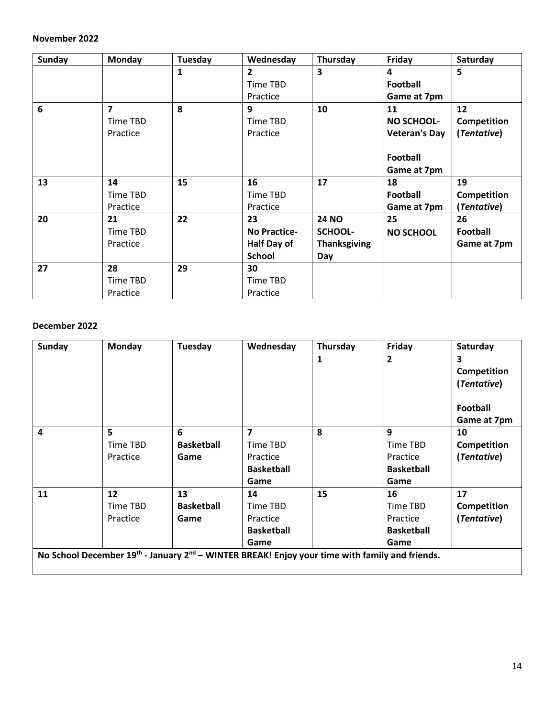#### **November 2022**

| <b>Sunday</b>   | Monday                  | Tuesday      | Wednesday           | Thursday                | Friday               | Saturday    |
|-----------------|-------------------------|--------------|---------------------|-------------------------|----------------------|-------------|
|                 |                         | $\mathbf{1}$ | $\mathbf{2}$        | $\overline{\mathbf{3}}$ | 4                    | 5           |
|                 |                         |              | Time TBD            |                         | <b>Football</b>      |             |
|                 |                         |              | Practice            |                         | Game at 7pm          |             |
| $6\phantom{1}6$ | $\overline{\mathbf{z}}$ | 8            | 9                   | 10                      | 11                   | 12          |
|                 | Time TBD                |              | Time TBD            |                         | <b>NO SCHOOL-</b>    | Competition |
|                 | Practice                |              | Practice            |                         | <b>Veteran's Day</b> | (Tentative) |
|                 |                         |              |                     |                         | <b>Football</b>      |             |
|                 |                         |              |                     |                         | Game at 7pm          |             |
| 13              | 14                      | 15           | 16                  | 17                      | 18                   | 19          |
|                 | Time TBD                |              | Time TBD            |                         | Football             | Competition |
|                 | Practice                |              | Practice            |                         | Game at 7pm          | (Tentative) |
| 20              | 21                      | 22           | 23                  | <b>24 NO</b>            | 25                   | 26          |
|                 | Time TBD                |              | <b>No Practice-</b> | SCHOOL-                 | <b>NO SCHOOL</b>     | Football    |
|                 | Practice                |              | Half Day of         | <b>Thanksgiving</b>     |                      | Game at 7pm |
|                 |                         |              | <b>School</b>       | Day                     |                      |             |
| 27              | 28                      | 29           | 30                  |                         |                      |             |
|                 | Time TBD                |              | Time TBD            |                         |                      |             |
|                 | Practice                |              | Practice            |                         |                      |             |

#### **December 2022**

| Sunday | Monday                                                                                                                 | Tuesday           | Wednesday         | Thursday | Friday            | Saturday        |
|--------|------------------------------------------------------------------------------------------------------------------------|-------------------|-------------------|----------|-------------------|-----------------|
|        |                                                                                                                        |                   |                   | 1        | $\overline{2}$    | 3               |
|        |                                                                                                                        |                   |                   |          |                   | Competition     |
|        |                                                                                                                        |                   |                   |          |                   | (Tentative)     |
|        |                                                                                                                        |                   |                   |          |                   | <b>Football</b> |
|        |                                                                                                                        |                   |                   |          |                   | Game at 7pm     |
| 4      | 5                                                                                                                      | 6                 | 7                 | 8        | 9                 | 10              |
|        | Time TBD                                                                                                               | <b>Basketball</b> | Time TBD          |          | Time TBD          | Competition     |
|        | Practice                                                                                                               | Game              | Practice          |          | Practice          | (Tentative)     |
|        |                                                                                                                        |                   | <b>Basketball</b> |          | <b>Basketball</b> |                 |
|        |                                                                                                                        |                   | Game              |          | Game              |                 |
| 11     | 12                                                                                                                     | 13                | 14                | 15       | 16                | 17              |
|        | Time TBD                                                                                                               | <b>Basketball</b> | Time TBD          |          | Time TBD          | Competition     |
|        | Practice                                                                                                               | Game              | Practice          |          | Practice          | (Tentative)     |
|        |                                                                                                                        |                   | <b>Basketball</b> |          | <b>Basketball</b> |                 |
|        |                                                                                                                        |                   | Game              |          | Game              |                 |
|        | No School December 19 <sup>th</sup> - January 2 <sup>nd</sup> – WINTER BREAK! Enjoy your time with family and friends. |                   |                   |          |                   |                 |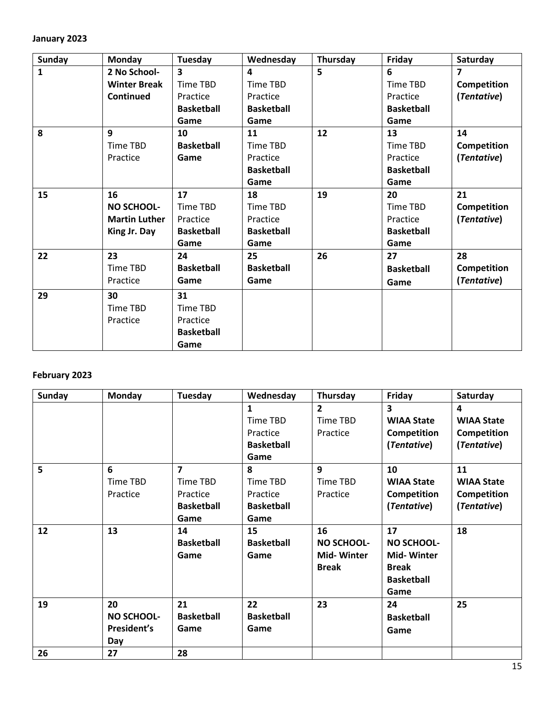#### **January 2023**

| Sunday       | <b>Monday</b>        | Tuesday                 | Wednesday         | Thursday | Friday            | Saturday                |
|--------------|----------------------|-------------------------|-------------------|----------|-------------------|-------------------------|
| $\mathbf{1}$ | 2 No School-         | $\overline{\mathbf{3}}$ | 4                 | 5        | 6                 | $\overline{\mathbf{z}}$ |
|              | <b>Winter Break</b>  | Time TBD                | <b>Time TBD</b>   |          | Time TBD          | Competition             |
|              | Continued            | Practice                | Practice          |          | Practice          | (Tentative)             |
|              |                      | <b>Basketball</b>       | <b>Basketball</b> |          | <b>Basketball</b> |                         |
|              |                      | Game                    | Game              |          | Game              |                         |
| 8            | 9                    | 10                      | 11                | 12       | 13                | 14                      |
|              | Time TBD             | <b>Basketball</b>       | Time TBD          |          | Time TBD          | Competition             |
|              | Practice             | Game                    | Practice          |          | Practice          | (Tentative)             |
|              |                      |                         | <b>Basketball</b> |          | <b>Basketball</b> |                         |
|              |                      |                         | Game              |          | Game              |                         |
| 15           | 16                   | 17                      | 18                | 19       | 20                | 21                      |
|              | <b>NO SCHOOL-</b>    | Time TBD                | Time TBD          |          | Time TBD          | Competition             |
|              | <b>Martin Luther</b> | Practice                | Practice          |          | Practice          | (Tentative)             |
|              | King Jr. Day         | <b>Basketball</b>       | <b>Basketball</b> |          | <b>Basketball</b> |                         |
|              |                      | Game                    | Game              |          | Game              |                         |
| 22           | 23                   | 24                      | 25                | 26       | 27                | 28                      |
|              | Time TBD             | <b>Basketball</b>       | <b>Basketball</b> |          | <b>Basketball</b> | Competition             |
|              | Practice             | Game                    | Game              |          | Game              | (Tentative)             |
| 29           | 30                   | 31                      |                   |          |                   |                         |
|              | Time TBD             | Time TBD                |                   |          |                   |                         |
|              | Practice             | Practice                |                   |          |                   |                         |
|              |                      | <b>Basketball</b>       |                   |          |                   |                         |
|              |                      | Game                    |                   |          |                   |                         |

# **February 2023**

| <b>Sunday</b> | <b>Monday</b>     | Tuesday                 | Wednesday         | Thursday          | Friday            | Saturday          |
|---------------|-------------------|-------------------------|-------------------|-------------------|-------------------|-------------------|
|               |                   |                         | 1                 | $\overline{2}$    | $\mathbf{3}$      | 4                 |
|               |                   |                         | Time TBD          | Time TBD          | <b>WIAA State</b> | <b>WIAA State</b> |
|               |                   |                         | Practice          | Practice          | Competition       | Competition       |
|               |                   |                         | <b>Basketball</b> |                   | (Tentative)       | (Tentative)       |
|               |                   |                         | Game              |                   |                   |                   |
| 5             | 6                 | $\overline{\mathbf{z}}$ | 8                 | 9                 | 10                | 11                |
|               | Time TBD          | Time TBD                | Time TBD          | Time TBD          | <b>WIAA State</b> | <b>WIAA State</b> |
|               | Practice          | Practice                | Practice          | Practice          | Competition       | Competition       |
|               |                   | <b>Basketball</b>       | <b>Basketball</b> |                   | (Tentative)       | (Tentative)       |
|               |                   | Game                    | Game              |                   |                   |                   |
| 12            | 13                | 14                      | 15                | 16                | 17                | 18                |
|               |                   | <b>Basketball</b>       | <b>Basketball</b> | <b>NO SCHOOL-</b> | <b>NO SCHOOL-</b> |                   |
|               |                   | Game                    | Game              | <b>Mid-Winter</b> | <b>Mid-Winter</b> |                   |
|               |                   |                         |                   | <b>Break</b>      | <b>Break</b>      |                   |
|               |                   |                         |                   |                   | <b>Basketball</b> |                   |
|               |                   |                         |                   |                   | Game              |                   |
| 19            | 20                | 21                      | 22                | 23                | 24                | 25                |
|               | <b>NO SCHOOL-</b> | <b>Basketball</b>       | <b>Basketball</b> |                   | <b>Basketball</b> |                   |
|               | President's       | Game                    | Game              |                   | Game              |                   |
|               | Day               |                         |                   |                   |                   |                   |
| 26            | 27                | 28                      |                   |                   |                   |                   |